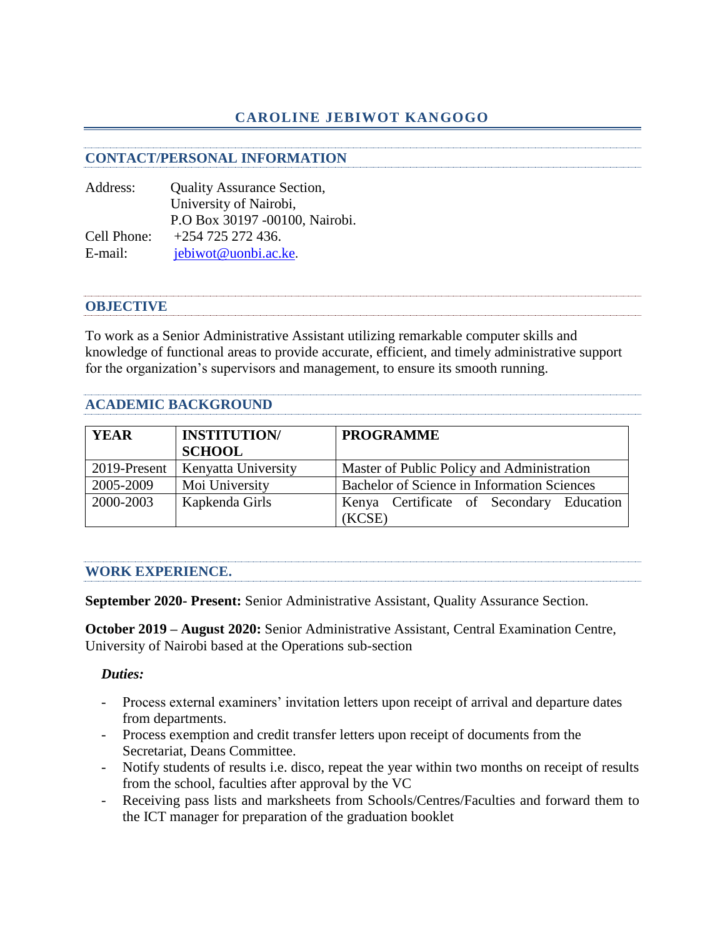# **CAROLINE JEBIWOT KANGOGO**

### **CONTACT/PERSONAL INFORMATION**

Address: Quality Assurance Section, University of Nairobi, P.O Box 30197 -00100, Nairobi. Cell Phone: +254 725 272 436. E-mail: [jebiwot@uonbi.ac.ke](mailto:jebiwot@uonbi.ac.ke).

### **OBJECTIVE**

To work as a Senior Administrative Assistant utilizing remarkable computer skills and knowledge of functional areas to provide accurate, efficient, and timely administrative support for the organization's supervisors and management, to ensure its smooth running.

## **ACADEMIC BACKGROUND**

| <b>YEAR</b>  | <b>INSTITUTION/</b> | <b>PROGRAMME</b>                            |
|--------------|---------------------|---------------------------------------------|
|              | <b>SCHOOL</b>       |                                             |
| 2019-Present | Kenyatta University | Master of Public Policy and Administration  |
| 2005-2009    | Moi University      | Bachelor of Science in Information Sciences |
| 2000-2003    | Kapkenda Girls      | Kenya Certificate of Secondary Education    |
|              |                     | (KCSE)                                      |

### **WORK EXPERIENCE.**

**September 2020- Present:** Senior Administrative Assistant, Quality Assurance Section.

**October 2019 – August 2020:** Senior Administrative Assistant, Central Examination Centre, University of Nairobi based at the Operations sub-section

### *Duties:*

- Process external examiners' invitation letters upon receipt of arrival and departure dates from departments.
- Process exemption and credit transfer letters upon receipt of documents from the Secretariat, Deans Committee.
- Notify students of results i.e. disco, repeat the year within two months on receipt of results from the school, faculties after approval by the VC
- Receiving pass lists and marksheets from Schools/Centres/Faculties and forward them to the ICT manager for preparation of the graduation booklet